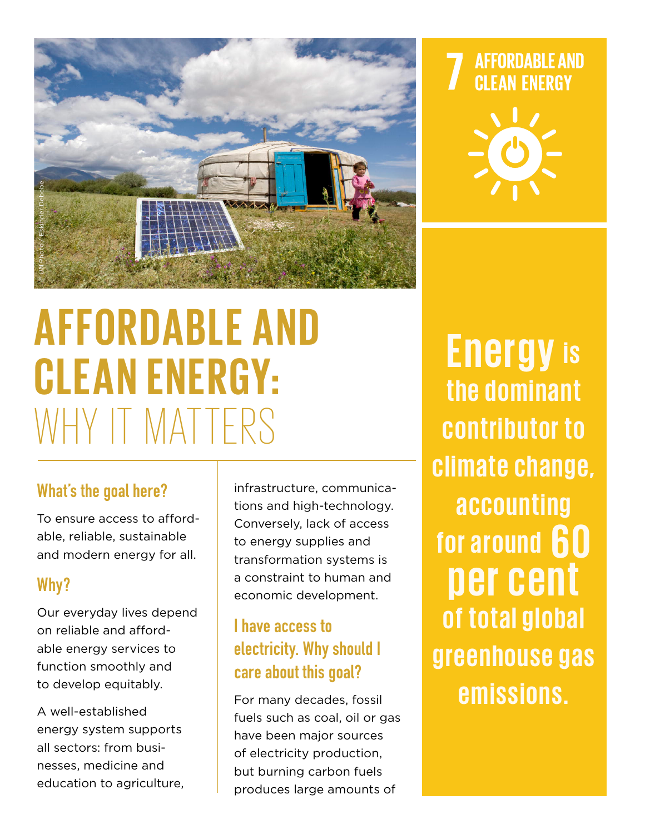

# **AFFORDABLE AND CLEAN ENERGY:**  EN PHORDABLE A

#### What's the goal here?

To ensure access to affordable, reliable, sustainable and modern energy for all.

#### Why?

Our everyday lives depend on reliable and affordable energy services to function smoothly and to develop equitably.

A well-established energy system supports all sectors: from businesses, medicine and education to agriculture,

infrastructure, communications and high-technology. Conversely, lack of access to energy supplies and transformation systems is a constraint to human and economic development.

### I have access to electricity. Why should I care about this goal?

For many decades, fossil fuels such as coal, oil or gas have been major sources of electricity production, but burning carbon fuels produces large amounts of

**AFFORDABLE AND CLEAN ENERGY** 



**Energy is the dominant contributor to climate change, a c c o u n t i n g for around 60 per cent of total global g r e e n h o u s e g a s emissions.**